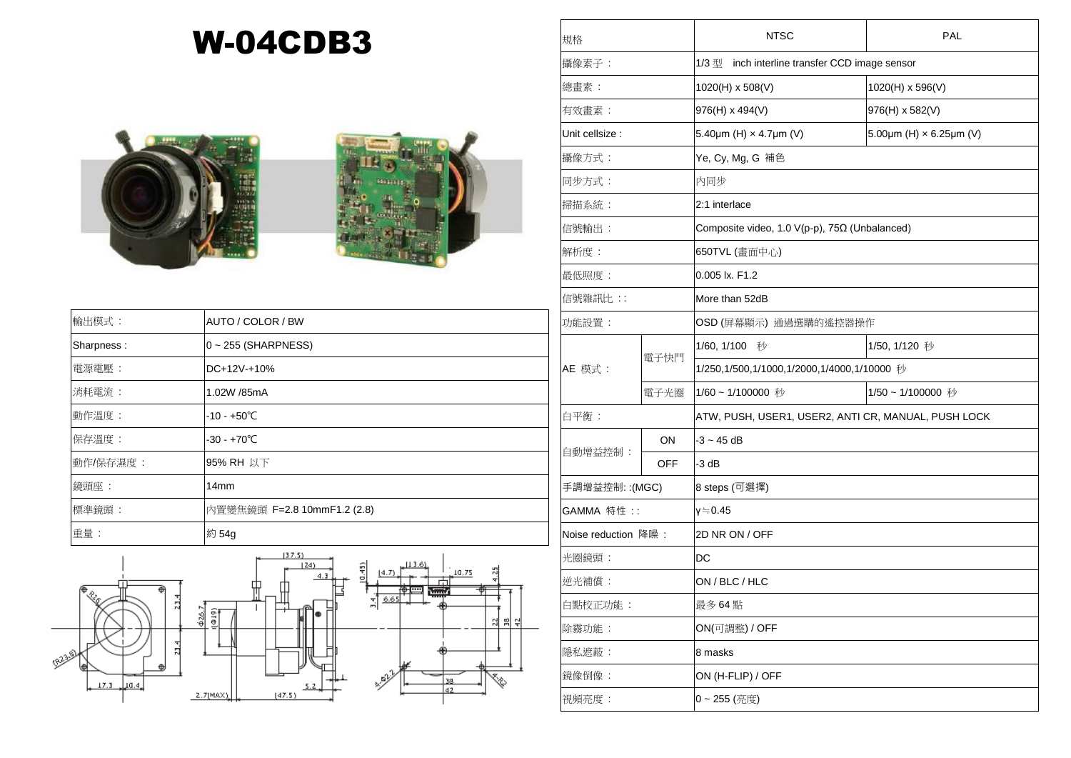## W-04CDB3





| 輸出模式:      | AUTO / COLOR / BW           |
|------------|-----------------------------|
| Sharpness: | $0 \sim 255$ (SHARPNESS)    |
| 電源電壓:      | $DC+12V+10%$                |
| 消耗電流:      | 1.02W /85mA                 |
| 動作溫度:      | $-10 - +50^{\circ}C$        |
| 保存溫度:      | $-30 - +70^{\circ}C$        |
| 動作/保存濕度:   | 95% RH 以下                   |
| 鏡頭座:       | 14 <sub>mm</sub>            |
| 標準鏡頭:      | 內置變焦鏡頭 F=2.8 10mmF1.2 (2.8) |
| 重量:        | 約 54g                       |



| 規格                  |            | <b>NTSC</b>                                              | PAL                                        |  |
|---------------------|------------|----------------------------------------------------------|--------------------------------------------|--|
| 攝像素子:               |            | 1/3型<br>inch interline transfer CCD image sensor         |                                            |  |
| 總畫素:                |            | 1020(H) x 508(V)                                         | 1020(H) x 596(V)                           |  |
| 有效畫素:               |            | 976(H) x 494(V)                                          | 976(H) x 582(V)                            |  |
| Unit cellsize:      |            | 5.40 $\mu$ m (H) $\times$ 4.7 $\mu$ m (V)                | 5.00 $\mu$ m (H) $\times$ 6.25 $\mu$ m (V) |  |
| 攝像方式:               |            | Ye, Cy, Mg, G 補色                                         |                                            |  |
| 同步方式:               |            | 内同步                                                      |                                            |  |
| 掃描系統:               |            | 2:1 interlace                                            |                                            |  |
| 信號輸出:               |            | Composite video, 1.0 $V(p-p)$ , 75 $\Omega$ (Unbalanced) |                                            |  |
| 解析度:                |            | 650TVL (畫面中心)                                            |                                            |  |
| 最低照度:               |            | 0.005 lx. F1.2                                           |                                            |  |
| 信號雜訊比:              |            | More than 52dB                                           |                                            |  |
| 功能設置:               |            | OSD (屏幕顯示) 通過選購的遙控器操作                                    |                                            |  |
|                     | 電子快門       | 1/60, 1/100 秒                                            | 1/50, 1/120 秒                              |  |
| AE 模式:              |            | 1/250,1/500,1/1000,1/2000,1/4000,1/10000 秒               |                                            |  |
|                     | 電子光圈       | 1/60~1/100000 秒                                          | 1/50~1/100000 秒                            |  |
| 白平衡:                |            | ATW, PUSH, USER1, USER2, ANTI CR, MANUAL, PUSH LOCK      |                                            |  |
| 自動增益控制:             | ON         | $-3 - 45$ dB                                             |                                            |  |
|                     | <b>OFF</b> | $-3 dB$                                                  |                                            |  |
| 手調增益控制:: (MGC)      |            | 8 steps (可選擇)                                            |                                            |  |
| GAMMA 特性 ::         |            | γ≒0.45                                                   |                                            |  |
| Noise reduction 降噪: |            | 2D NR ON / OFF                                           |                                            |  |
| 光圈鏡頭:               |            | DC                                                       |                                            |  |
| 逆光補償:               |            | ON / BLC / HLC                                           |                                            |  |
| 白點校正功能:             |            | 最多 64 點                                                  |                                            |  |
| 除霧功能:               |            | ON(可調整) / OFF                                            |                                            |  |
| 隱私遮蔽:               |            | 8 masks                                                  |                                            |  |
| 鏡像倒像:               |            | ON (H-FLIP) / OFF                                        |                                            |  |
| 視頻亮度:               |            | 0~255 (亮度)                                               |                                            |  |